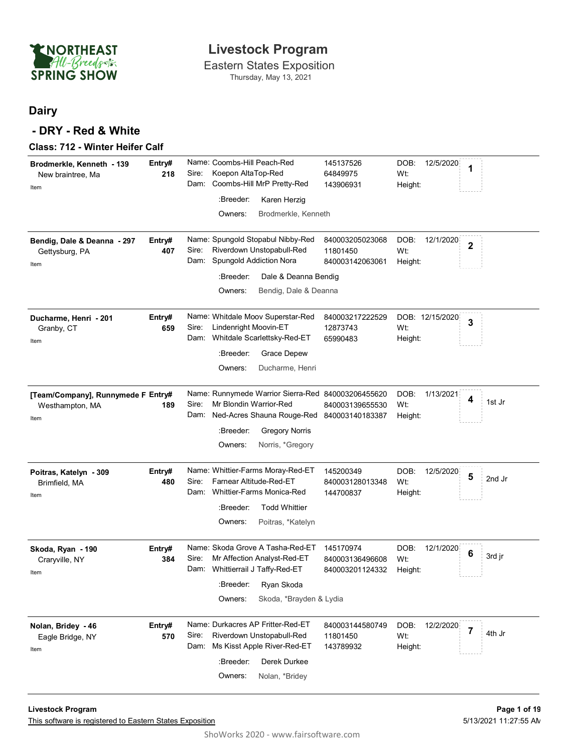

Thursday, May 13, 2021

### **Dairy**

### **- DRY - Red & White**

|  |  | Class: 712 - Winter Heifer Calf |  |  |
|--|--|---------------------------------|--|--|
|--|--|---------------------------------|--|--|

| Brodmerkle, Kenneth - 139<br>New braintree, Ma<br>Item<br>Bendig, Dale & Deanna - 297 | Entry#<br>218<br>Entry# | Name: Coombs-Hill Peach-Red<br>145137526<br>DOB:<br>12/5/2020<br>1<br>Koepon AltaTop-Red<br>Sire:<br>Wt:<br>64849975<br>Coombs-Hill MrP Pretty-Red<br>Dam:<br>143906931<br>Height:<br>:Breeder:<br>Karen Herzig<br>Owners:<br>Brodmerkle, Kenneth<br>Name: Spungold Stopabul Nibby-Red<br>840003205023068<br>DOB:<br>12/1/2020 |
|---------------------------------------------------------------------------------------|-------------------------|--------------------------------------------------------------------------------------------------------------------------------------------------------------------------------------------------------------------------------------------------------------------------------------------------------------------------------|
| Gettysburg, PA<br>Item                                                                | 407                     | $\mathbf{2}$<br>Riverdown Unstopabull-Red<br>Sire:<br>Wt:<br>11801450<br>Spungold Addiction Nora<br>Dam:<br>840003142063061<br>Height:                                                                                                                                                                                         |
|                                                                                       |                         | :Breeder:<br>Dale & Deanna Bendig                                                                                                                                                                                                                                                                                              |
|                                                                                       |                         | Owners:<br>Bendig, Dale & Deanna                                                                                                                                                                                                                                                                                               |
| Ducharme, Henri - 201<br>Granby, CT<br>Item                                           | Entry#<br>659           | Name: Whitdale Moov Superstar-Red<br>840003217222529<br>DOB: 12/15/2020<br>3<br>Sire:<br>Lindenright Moovin-ET<br>12873743<br>Wt:<br>Dam: Whitdale Scarlettsky-Red-ET<br>65990483<br>Height:<br>:Breeder:<br>Grace Depew<br>Owners:<br>Ducharme, Henri                                                                         |
| [Team/Company], Runnymede F Entry#<br>Westhampton, MA<br>Item                         | 189                     | Name: Runnymede Warrior Sierra-Red 840003206455620<br>DOB:<br>1/13/2021<br>4<br>1st Jr<br>Mr Blondin Warrior-Red<br>Sire:<br>Wt:<br>840003139655530<br>Ned-Acres Shauna Rouge-Red 840003140183387<br>Dam:<br>Height:<br>:Breeder:<br><b>Gregory Norris</b><br>Owners:<br>Norris, *Gregory                                      |
| Poitras, Katelyn - 309<br>Brimfield, MA<br>Item                                       | Entry#<br>480           | Name: Whittier-Farms Moray-Red-ET<br>DOB:<br>145200349<br>12/5/2020<br>5<br>2nd Jr<br>Farnear Altitude-Red-ET<br>Sire:<br>Wt:<br>840003128013348<br>Whittier-Farms Monica-Red<br>Dam:<br>144700837<br>Height:<br><b>Todd Whittier</b><br>:Breeder:<br>Owners:<br>Poitras, *Katelyn                                             |
| Skoda, Ryan - 190<br>Craryville, NY<br>Item                                           | Entry#<br>384           | Name: Skoda Grove A Tasha-Red-ET<br>145170974<br>DOB:<br>12/1/2020<br>6<br>3rd jr<br>Mr Affection Analyst-Red-ET<br>Sire:<br>Wt:<br>840003136496608<br>Whittierrail J Taffy-Red-ET<br>Dam:<br>840003201124332<br>Height:<br>:Breeder: Ryan Skoda<br>Skoda, *Brayden & Lydia<br>Owners:                                         |
| Nolan, Bridey - 46<br>Eagle Bridge, NY<br>Item                                        | Entry#<br>570           | Name: Durkacres AP Fritter-Red-ET<br>DOB:<br>840003144580749<br>12/2/2020<br>$\overline{7}$<br>4th Jr<br>Sire:<br>Riverdown Unstopabull-Red<br>Wt:<br>11801450<br>Ms Kisst Apple River-Red-ET<br>Dam:<br>143789932<br>Height:<br>:Breeder:<br>Derek Durkee<br>Owners:<br>Nolan, *Bridey                                        |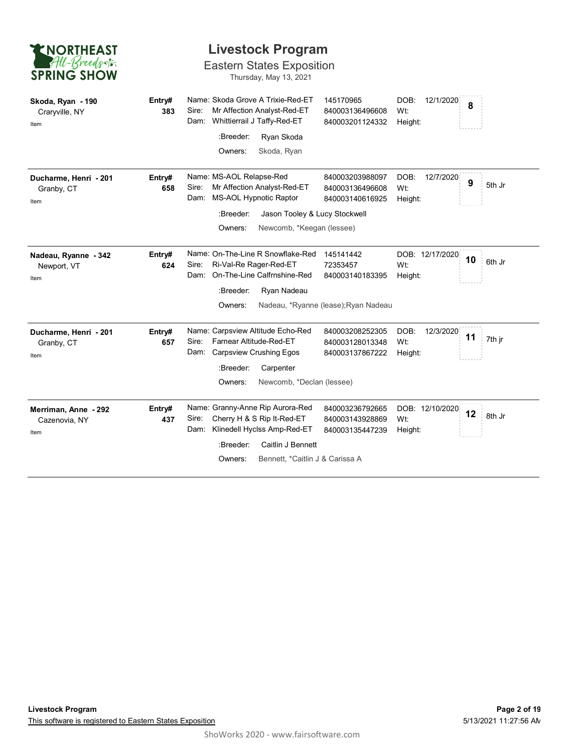| <b>ENORTHEAST</b>                             |               | <b>Livestock Program</b>                                                                                         |                                                       |                                     |              |
|-----------------------------------------------|---------------|------------------------------------------------------------------------------------------------------------------|-------------------------------------------------------|-------------------------------------|--------------|
| All-Breeds<br><b>SPRING SHOW</b>              |               | <b>Eastern States Exposition</b><br>Thursday, May 13, 2021                                                       |                                                       |                                     |              |
| Skoda, Ryan - 190<br>Craryville, NY<br>Item   | Entry#<br>383 | Name: Skoda Grove A Trixie-Red-ET<br>Sire:<br>Mr Affection Analyst-Red-ET<br>Whittierrail J Taffy-Red-ET<br>Dam: | 145170965<br>840003136496608<br>840003201124332       | DOB:<br>12/1/2020<br>Wt:<br>Height: | 8            |
|                                               |               | :Breeder:<br>Ryan Skoda                                                                                          |                                                       |                                     |              |
|                                               |               | Owners:<br>Skoda, Ryan                                                                                           |                                                       |                                     |              |
| Ducharme, Henri - 201<br>Granby, CT<br>Item   | Entry#<br>658 | Name: MS-AOL Relapse-Red<br>Mr Affection Analyst-Red-ET<br>Sire:<br><b>MS-AOL Hypnotic Raptor</b><br>Dam:        | 840003203988097<br>840003136496608<br>840003140616925 | DOB:<br>12/7/2020<br>Wt:<br>Height: | 9<br>5th Jr  |
|                                               |               | :Breeder:<br>Jason Tooley & Lucy Stockwell                                                                       |                                                       |                                     |              |
|                                               |               | Owners:<br>Newcomb, *Keegan (lessee)                                                                             |                                                       |                                     |              |
| Nadeau, Ryanne - 342<br>Newport, VT<br>Item   | Entry#<br>624 | Name: On-The-Line R Snowflake-Red<br>Sire:<br>Ri-Val-Re Rager-Red-ET<br>On-The-Line Calfrnshine-Red<br>Dam:      | 145141442<br>72353457<br>840003140183395              | DOB: 12/17/2020<br>Wt:<br>Height:   | 10<br>6th Jr |
|                                               |               | :Breeder:<br>Ryan Nadeau                                                                                         |                                                       |                                     |              |
|                                               |               | Owners:                                                                                                          | Nadeau, *Ryanne (lease); Ryan Nadeau                  |                                     |              |
| Ducharme, Henri - 201<br>Granby, CT<br>Item   | Entry#<br>657 | Name: Carpsview Altitude Echo-Red<br>Farnear Altitude-Red-ET<br>Sire:<br>Carpsview Crushing Egos<br>Dam:         | 840003208252305<br>840003128013348<br>840003137867222 | DOB:<br>12/3/2020<br>Wt:<br>Height: | 11<br>7th jr |
|                                               |               | :Breeder:<br>Carpenter                                                                                           |                                                       |                                     |              |
|                                               |               | Owners:<br>Newcomb, *Declan (lessee)                                                                             |                                                       |                                     |              |
| Merriman, Anne - 292<br>Cazenovia, NY<br>Item | Entry#<br>437 | Name: Granny-Anne Rip Aurora-Red<br>Cherry H & S Rip It-Red-ET<br>Sire:<br>Klinedell Hyclss Amp-Red-ET<br>Dam:   | 840003236792665<br>840003143928869<br>840003135447239 | DOB: 12/10/2020<br>Wt:<br>Height:   | 12<br>8th Jr |
|                                               |               | Caitlin J Bennett<br>:Breeder:                                                                                   |                                                       |                                     |              |
|                                               |               | Bennett, *Caitlin J & Carissa A<br>Owners:                                                                       |                                                       |                                     |              |
|                                               |               |                                                                                                                  |                                                       |                                     |              |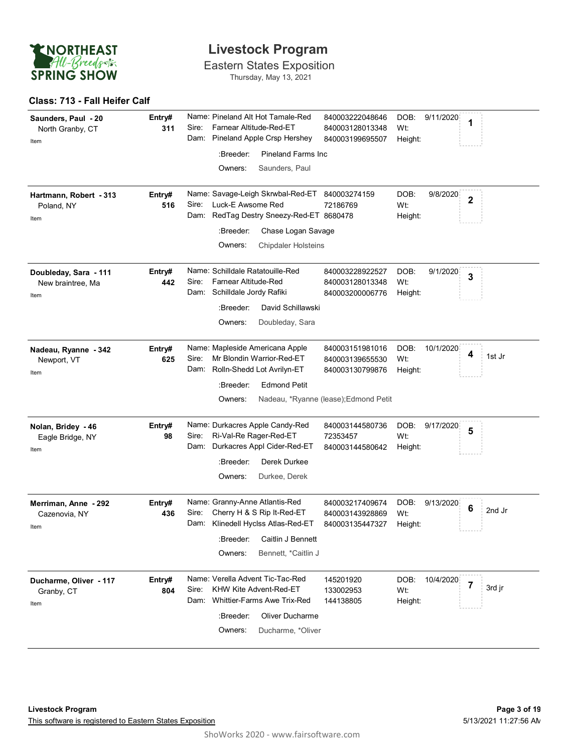

Eastern States Exposition Thursday, May 13, 2021

#### **Class: 713 - Fall Heifer Calf**

| Saunders, Paul - 20<br>North Granby, CT<br>Item    | Entry#<br>311 | Sire: | Farnear Altitude-Red-ET                              | Name: Pineland Alt Hot Tamale-Red<br>Dam: Pineland Apple Crsp Hershey                              | 840003222048646<br>840003128013348<br>840003199695507 | DOB:<br>Wt:<br>Height: | 9/11/2020 | 1            |        |
|----------------------------------------------------|---------------|-------|------------------------------------------------------|----------------------------------------------------------------------------------------------------|-------------------------------------------------------|------------------------|-----------|--------------|--------|
|                                                    |               |       | :Breeder:                                            | <b>Pineland Farms Inc.</b>                                                                         |                                                       |                        |           |              |        |
|                                                    |               |       | Owners:                                              | Saunders, Paul                                                                                     |                                                       |                        |           |              |        |
| Hartmann, Robert - 313<br>Poland, NY<br>Item       | Entry#<br>516 | Sire: | Luck-E Awsome Red                                    | Name: Savage-Leigh Skrwbal-Red-ET 840003274159<br>Dam: RedTag Destry Sneezy-Red-ET 8680478         | 72186769                                              | DOB:<br>Wt:<br>Height: | 9/8/2020  | $\mathbf{2}$ |        |
|                                                    |               |       | :Breeder:                                            | Chase Logan Savage                                                                                 |                                                       |                        |           |              |        |
|                                                    |               |       | Owners:                                              | <b>Chipdaler Holsteins</b>                                                                         |                                                       |                        |           |              |        |
| Doubleday, Sara - 111<br>New braintree, Ma<br>Item | Entry#<br>442 | Sire: | Farnear Altitude-Red<br>Dam: Schilldale Jordy Rafiki | Name: Schilldale Ratatouille-Red                                                                   | 840003228922527<br>840003128013348<br>840003200006776 | DOB:<br>Wt:<br>Height: | 9/1/2020  | 3            |        |
|                                                    |               |       | :Breeder:                                            | David Schillawski                                                                                  |                                                       |                        |           |              |        |
|                                                    |               |       | Owners:                                              | Doubleday, Sara                                                                                    |                                                       |                        |           |              |        |
| Nadeau, Ryanne - 342<br>Newport, VT<br>Item        | Entry#<br>625 | Sire: |                                                      | Name: Mapleside Americana Apple<br>Mr Blondin Warrior-Red-ET<br>Dam: Rolln-Shedd Lot Avrilyn-ET    | 840003151981016<br>840003139655530<br>840003130799876 | DOB:<br>Wt:<br>Height: | 10/1/2020 | 4            | 1st Jr |
|                                                    |               |       | :Breeder:                                            | <b>Edmond Petit</b>                                                                                |                                                       |                        |           |              |        |
|                                                    |               |       | Owners:                                              |                                                                                                    | Nadeau, *Ryanne (lease); Edmond Petit                 |                        |           |              |        |
| Nolan, Bridey - 46<br>Eagle Bridge, NY<br>Item     | Entry#<br>98  | Sire: |                                                      | Name: Durkacres Apple Candy-Red<br>Ri-Val-Re Rager-Red-ET<br>Dam: Durkacres Appl Cider-Red-ET      | 840003144580736<br>72353457<br>840003144580642        | DOB:<br>Wt:<br>Height: | 9/17/2020 | 5            |        |
|                                                    |               |       | :Breeder:                                            | Derek Durkee                                                                                       |                                                       |                        |           |              |        |
|                                                    |               |       | Owners:                                              | Durkee, Derek                                                                                      |                                                       |                        |           |              |        |
| Merriman, Anne - 292<br>Cazenovia, NY<br>Item      | Entry#<br>436 | Sire: |                                                      | Name: Granny-Anne Atlantis-Red<br>Cherry H & S Rip It-Red-ET<br>Dam: Klinedell Hyclss Atlas-Red-ET | 840003217409674<br>840003143928869<br>840003135447327 | DOB:<br>Wt:<br>Height: | 9/13/2020 | 6            | 2nd Jr |
|                                                    |               |       |                                                      | :Breeder: Caitlin J Bennett                                                                        |                                                       |                        |           |              |        |
|                                                    |               |       | Owners:                                              | Bennett, *Caitlin J                                                                                |                                                       |                        |           |              |        |
| Ducharme, Oliver - 117<br>Granby, CT<br>Item       | Entry#<br>804 | Sire: |                                                      | Name: Verella Advent Tic-Tac-Red<br>KHW Kite Advent-Red-ET<br>Dam: Whittier-Farms Awe Trix-Red     | 145201920<br>133002953<br>144138805                   | DOB:<br>Wt:<br>Height: | 10/4/2020 | 7            | 3rd jr |
|                                                    |               |       | :Breeder:                                            | Oliver Ducharme                                                                                    |                                                       |                        |           |              |        |
|                                                    |               |       | Owners:                                              | Ducharme, *Oliver                                                                                  |                                                       |                        |           |              |        |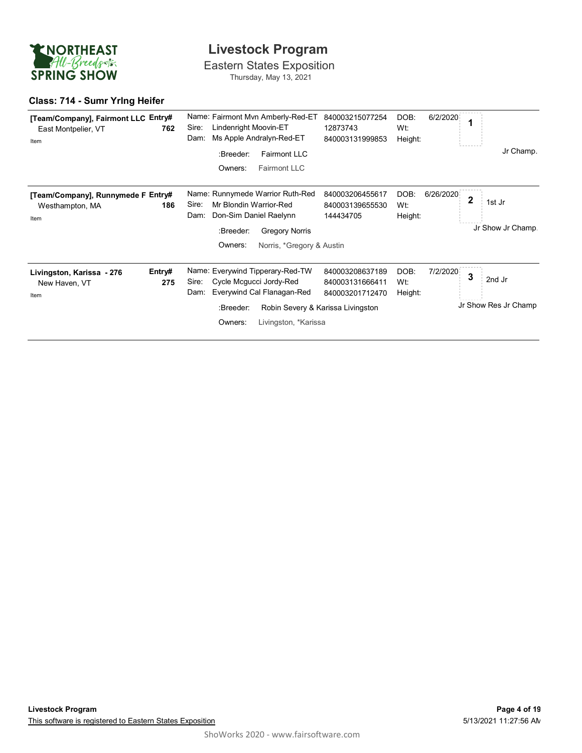

Eastern States Exposition Thursday, May 13, 2021

### **Class: 714 - Sumr Yrlng Heifer**

| [Team/Company], Fairmont LLC Entry#<br>East Montpelier, VT<br>Item | 762           | Name: Fairmont Mvn Amberly-Red-ET<br>Lindenright Moovin-ET<br>Sire:<br>Ms Apple Andralyn-Red-ET<br>Dam:<br>:Breeder:<br><b>Fairmont LLC</b><br>Owners:<br><b>Fairmont LLC</b>       | 840003215077254<br>12873743<br>840003131999853                                             | DOB:<br>6/2/2020<br>Wt:<br>Height:  | 1<br>Jr Champ.                                         |
|--------------------------------------------------------------------|---------------|-------------------------------------------------------------------------------------------------------------------------------------------------------------------------------------|--------------------------------------------------------------------------------------------|-------------------------------------|--------------------------------------------------------|
| [Team/Company], Runnymede F Entry#<br>Westhampton, MA<br>Item      | 186           | Name: Runnymede Warrior Ruth-Red<br>Sire:<br>Mr Blondin Warrior-Red<br>Don-Sim Daniel Raelynn<br>Dam:<br>:Breeder:<br><b>Gregory Norris</b><br>Owners:<br>Norris, *Gregory & Austin | 840003206455617<br>840003139655530<br>144434705                                            | DOB:<br>6/26/2020<br>Wt:<br>Height: | $\overline{\mathbf{2}}$<br>1st Jr<br>Jr Show Jr Champ. |
| Livingston, Karissa - 276<br>New Haven, VT<br>Item                 | Entry#<br>275 | Name: Everywind Tipperary-Red-TW<br>Sire:<br>Cycle Mcgucci Jordy-Red<br>Everywind Cal Flanagan-Red<br>Dam:<br>:Breeder:<br>Owners:<br>Livingston, *Karissa                          | 840003208637189<br>840003131666411<br>840003201712470<br>Robin Severy & Karissa Livingston | DOB:<br>7/2/2020<br>Wt:<br>Height:  | 3<br>2nd Jr<br>Jr Show Res Jr Champ                    |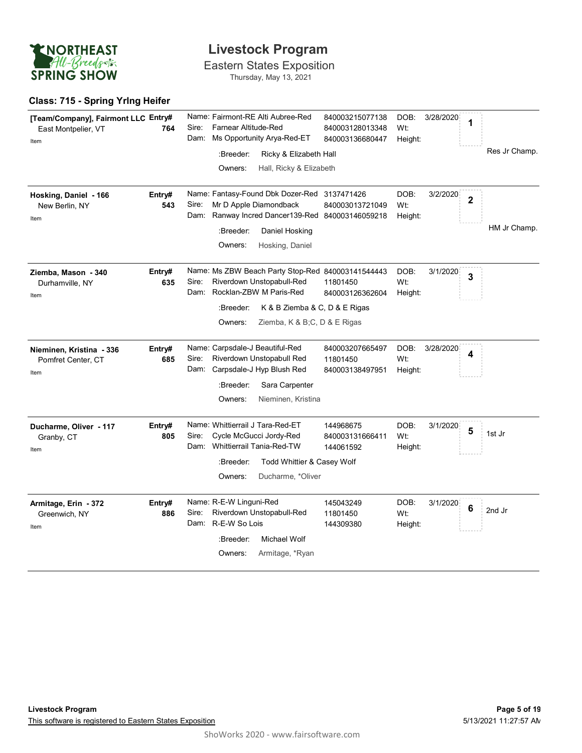

Eastern States Exposition Thursday, May 13, 2021

### **Class: 715 - Spring Yrlng Heifer**

| [Team/Company], Fairmont LLC Entry#<br>East Montpelier, VT<br>Item | 764           | Name: Fairmont-RE Alti Aubree-Red<br>840003215077138<br>Farnear Altitude-Red<br>Sire:<br>Wt:<br>840003128013348<br>Ms Opportunity Arya-Red-ET<br>Dam:<br>840003136680447<br>:Breeder:<br>Ricky & Elizabeth Hall<br>Owners:<br>Hall, Ricky & Elizabeth     | DOB:<br>3/28/2020<br>Height: | 1              | Res Jr Champ. |
|--------------------------------------------------------------------|---------------|-----------------------------------------------------------------------------------------------------------------------------------------------------------------------------------------------------------------------------------------------------------|------------------------------|----------------|---------------|
| Hosking, Daniel - 166<br>New Berlin, NY<br>Item                    | Entry#<br>543 | Name: Fantasy-Found Dbk Dozer-Red 3137471426<br>Mr D Apple Diamondback<br>Sire:<br>840003013721049<br>Wt:<br>Ranway Incred Dancer139-Red 840003146059218<br>Dam:<br>:Breeder:<br>Daniel Hosking<br>Owners:<br>Hosking, Daniel                             | DOB:<br>3/2/2020<br>Height:  | $\overline{2}$ | HM Jr Champ.  |
| Ziemba, Mason - 340<br>Durhamville, NY<br>Item                     | Entry#<br>635 | Name: Ms ZBW Beach Party Stop-Red 840003141544443<br>Sire:<br>Riverdown Unstopabull-Red<br>Wt:<br>11801450<br>Rocklan-ZBW M Paris-Red<br>Dam:<br>840003126362604<br>:Breeder:<br>K & B Ziemba & C, D & E Rigas<br>Owners:<br>Ziemba, K & B;C, D & E Rigas | DOB:<br>3/1/2020<br>Height:  | 3              |               |
| Nieminen, Kristina - 336<br>Pomfret Center, CT<br>Item             | Entry#<br>685 | Name: Carpsdale-J Beautiful-Red<br>840003207665497<br>Sire:<br>Riverdown Unstopabull Red<br>Wt:<br>11801450<br>Dam: Carpsdale-J Hyp Blush Red<br>840003138497951<br>:Breeder:<br>Sara Carpenter<br>Owners:<br>Nieminen, Kristina                          | DOB:<br>3/28/2020<br>Height: | 4              |               |
| Ducharme, Oliver - 117<br>Granby, CT<br>Item                       | Entry#<br>805 | Name: Whittierrail J Tara-Red-ET<br>144968675<br>Cycle McGucci Jordy-Red<br>Sire:<br>840003131666411<br>Wt:<br>Whittierrail Tania-Red-TW<br>Dam:<br>144061592<br>:Breeder:<br>Todd Whittier & Casey Wolf<br>Owners:<br>Ducharme, *Oliver                  | DOB:<br>3/1/2020<br>Height:  | 5              | 1st Jr        |
| Armitage, Erin - 372<br>Greenwich, NY<br>Item                      | Entry#<br>886 | Name: R-E-W Linguni-Red<br>145043249<br>Riverdown Unstopabull-Red<br>Sire:<br>Wt:<br>11801450<br>Dam: R-E-W So Lois<br>144309380<br>:Breeder:<br>Michael Wolf<br>Armitage, *Ryan<br>Owners:                                                               | DOB:<br>3/1/2020<br>Height:  | 6              | 2nd Jr        |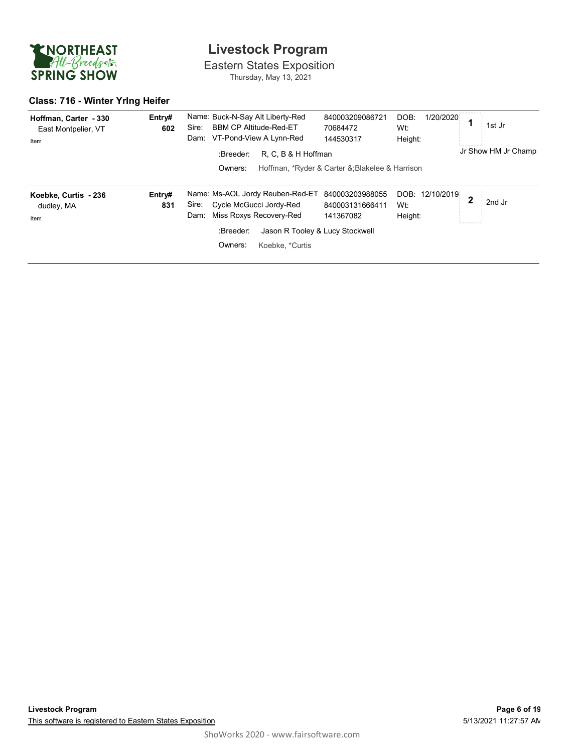

Eastern States Exposition Thursday, May 13, 2021

### **Class: 716 - Winter Yrlng Heifer**

| Hoffman, Carter - 330<br>East Montpelier, VT<br>Item | Entry#<br>602 | Name: Buck-N-Say Alt Liberty-Red<br><b>BBM CP Altitude-Red-ET</b><br>Sire:<br>VT-Pond-View A Lynn-Red<br>Dam:                                                                         | 840003209086721<br>70684472<br>144530317        | 1/20/2020<br>DOB:<br>Wt:<br>Height: | 1st Jr                 |
|------------------------------------------------------|---------------|---------------------------------------------------------------------------------------------------------------------------------------------------------------------------------------|-------------------------------------------------|-------------------------------------|------------------------|
|                                                      |               | R, C, B & H Hoffman<br>:Breeder:<br>Owners:                                                                                                                                           | Hoffman, *Ryder & Carter &; Blakelee & Harrison |                                     | Jr Show HM Jr Champ.   |
| Koebke, Curtis - 236<br>dudley, MA<br>Item           | Entry#<br>831 | Name: Ms-AOL Jordy Reuben-Red-ET<br>Cycle McGucci Jordy-Red<br>Sire:<br>Miss Roxys Recovery-Red<br>Dam:<br>:Breeder:<br>Jason R Tooley & Lucy Stockwell<br>Koebke. *Curtis<br>Owners: | 840003203988055<br>840003131666411<br>141367082 | DOB: 12/10/2019<br>Wt:<br>Height:   | $\mathbf{2}$<br>2nd Jr |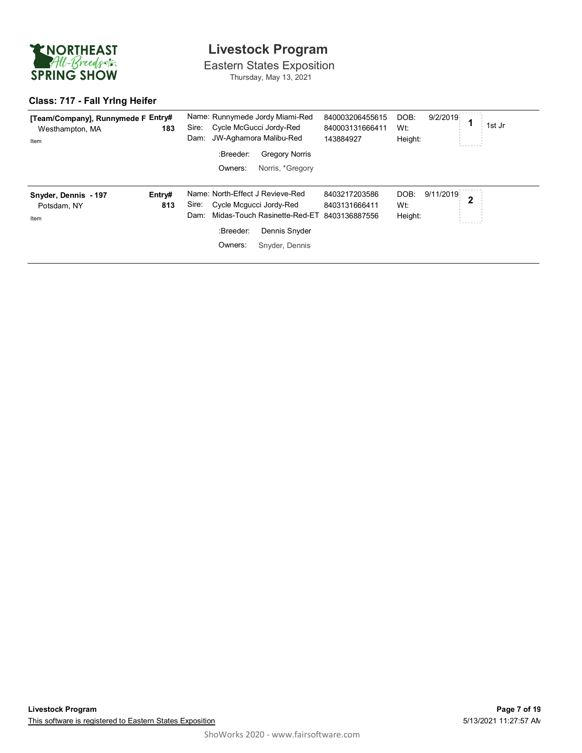

Eastern States Exposition Thursday, May 13, 2021

### **Class: 717 - Fall Yrlng Heifer**

| [Team/Company], Runnymede F Entry#<br>Westhampton, MA<br>Item | 183    | Sire:<br>Dam: |                         | Name: Runnymede Jordy Miami-Red<br>Cycle McGucci Jordy-Red<br>JW-Aghamora Malibu-Red | 840003206455615<br>840003131666411<br>143884927 | DOB:<br>Wt:<br>Height: | 9/2/2019  |              | 1st Jr |
|---------------------------------------------------------------|--------|---------------|-------------------------|--------------------------------------------------------------------------------------|-------------------------------------------------|------------------------|-----------|--------------|--------|
|                                                               |        |               | :Breeder:               | <b>Gregory Norris</b>                                                                |                                                 |                        |           |              |        |
|                                                               |        |               | Owners:                 | Norris, *Gregory                                                                     |                                                 |                        |           |              |        |
| Snyder, Dennis - 197                                          | Entry# |               |                         | Name: North-Effect J Revieve-Red                                                     | 8403217203586                                   | DOB:                   | 9/11/2019 | $\mathbf{2}$ |        |
| Potsdam, NY                                                   | 813    | Sire:         | Cycle Mcqucci Jordy-Red |                                                                                      | 8403131666411                                   | Wt:                    |           |              |        |
| Item                                                          |        | Dam:          |                         | Midas-Touch Rasinette-Red-ET                                                         | 8403136887556                                   | Height:                |           |              |        |
|                                                               |        |               | :Breeder:               | Dennis Snyder                                                                        |                                                 |                        |           |              |        |
|                                                               |        |               | Owners:                 | Snyder, Dennis                                                                       |                                                 |                        |           |              |        |
|                                                               |        |               |                         |                                                                                      |                                                 |                        |           |              |        |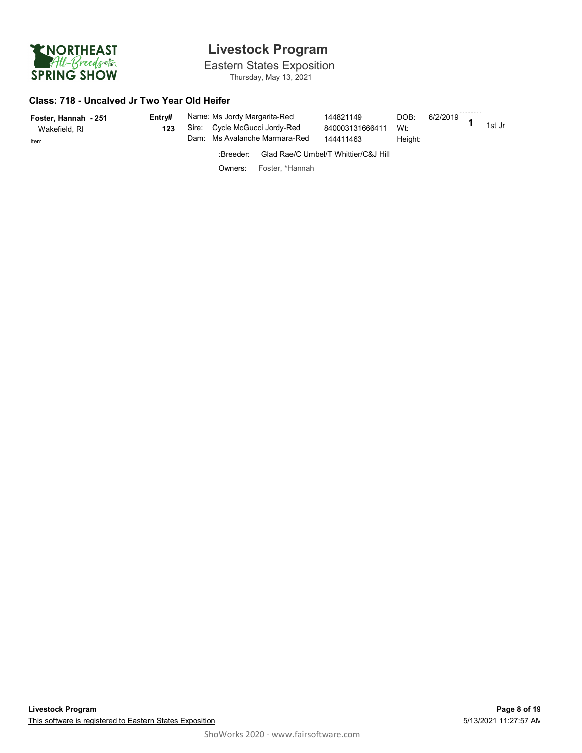

Eastern States Exposition Thursday, May 13, 2021

### **Class: 718 - Uncalved Jr Two Year Old Heifer**

| Foster, Hannah - 251<br>Wakefield, RI<br>Item | Entrv#<br>123 | Name: Ms Jordy Margarita-Red<br>Sire: Cycle McGucci Jordy-Red | Dam: Ms Avalanche Marmara-Red | 144821149<br>840003131666411<br>144411463 | DOB:<br>Wt:<br>Height: | $-$ 6/2/2019 1st Jr<br>--------- |
|-----------------------------------------------|---------------|---------------------------------------------------------------|-------------------------------|-------------------------------------------|------------------------|----------------------------------|
|                                               |               | :Breeder:                                                     |                               | Glad Rae/C Umbel/T Whittier/C&J Hill      |                        |                                  |
|                                               |               | Owners:                                                       | Foster. *Hannah               |                                           |                        |                                  |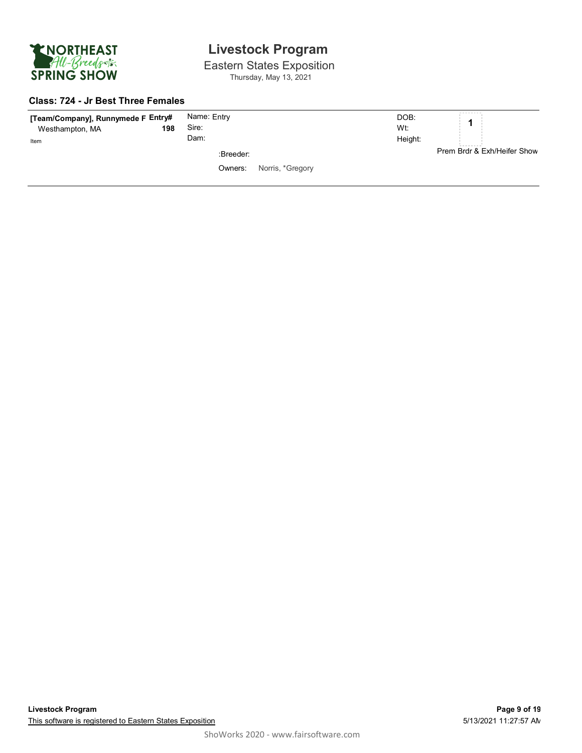

Eastern States Exposition Thursday, May 13, 2021

#### **Class: 724 - Jr Best Three Females**

| [Team/Company], Runnymede F Entry#<br>Westhampton, MA | 198 | Name: Entry<br>Sire: |                  | DOB:<br>Wt: | --------                                 |
|-------------------------------------------------------|-----|----------------------|------------------|-------------|------------------------------------------|
| Item                                                  |     | Dam:<br>:Breeder:    |                  | Height:     | ---------<br>Prem Brdr & Exh/Heifer Show |
|                                                       |     | Owners:              | Norris, *Gregory |             |                                          |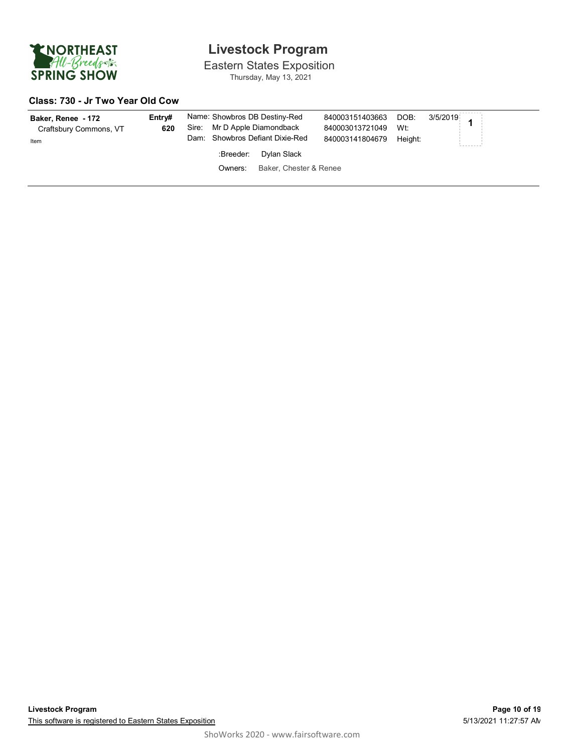

Eastern States Exposition Thursday, May 13, 2021

#### **Class: 730 - Jr Two Year Old Cow**

| Baker, Renee - 172<br>Craftsbury Commons, VT<br>Item | Entrv#<br>620 | Sire: |           | Name: Showbros DB Destiny-Red<br>Mr D Apple Diamondback<br>Dam: Showbros Defiant Dixie-Red | 840003151403663 DOB: 3/5/2019<br>840003013721049<br>840003141804679 | Wt:<br>Height: |  |
|------------------------------------------------------|---------------|-------|-----------|--------------------------------------------------------------------------------------------|---------------------------------------------------------------------|----------------|--|
|                                                      |               |       | :Breeder: | Dylan Slack                                                                                |                                                                     |                |  |
|                                                      |               |       | Owners:   | Baker, Chester & Renee                                                                     |                                                                     |                |  |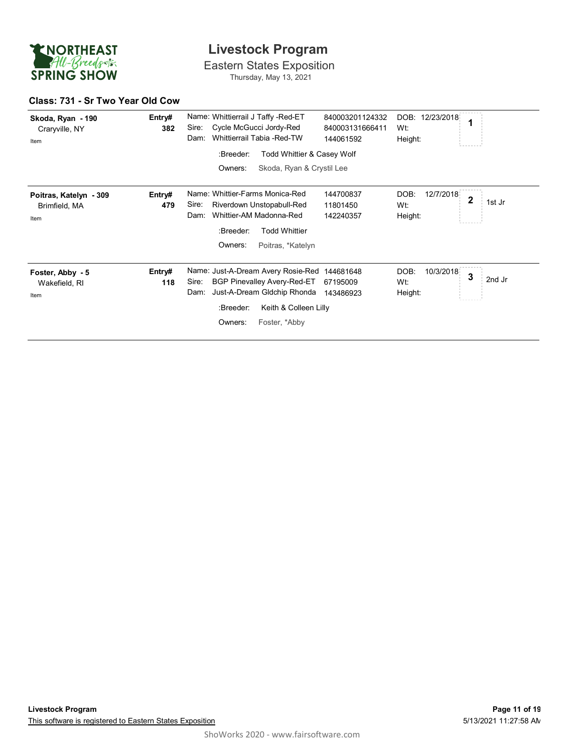

Eastern States Exposition Thursday, May 13, 2021

#### **Class: 731 - Sr Two Year Old Cow**

| Skoda, Ryan - 190<br>Craryville, NY<br>Item     | Entry#<br>382 | Name: Whittierrail J Taffy -Red-ET<br>Cycle McGucci Jordy-Red<br>Sire:<br>Whittierrail Tabia -Red-TW<br>Dam:                                                                                                               | 840003201124332<br>840003131666411<br>144061592 | 12/23/2018<br>DOB:<br>Wt:<br>Height: |   |        |
|-------------------------------------------------|---------------|----------------------------------------------------------------------------------------------------------------------------------------------------------------------------------------------------------------------------|-------------------------------------------------|--------------------------------------|---|--------|
|                                                 |               | :Breeder:<br>Todd Whittier & Casey Wolf<br>Skoda, Ryan & Crystil Lee<br>Owners:                                                                                                                                            |                                                 |                                      |   |        |
| Poitras, Katelyn - 309<br>Brimfield, MA<br>Item | Entry#<br>479 | Name: Whittier-Farms Monica-Red<br>Sire:<br>Riverdown Unstopabull-Red<br>Whittier-AM Madonna-Red<br>Dam:<br>:Breeder:<br><b>Todd Whittier</b>                                                                              | 144700837<br>11801450<br>142240357              | DOB:<br>12/7/2018<br>Wt:<br>Height:  | 2 | 1st Jr |
| Foster, Abby - 5<br>Wakefield, RI<br>Item       | Entry#<br>118 | Owners:<br>Poitras, *Katelyn<br>Name: Just-A-Dream Avery Rosie-Red<br>Sire:<br><b>BGP Pinevalley Avery-Red-ET</b><br>Just-A-Dream Gldchip Rhonda<br>Dam:<br>Keith & Colleen Lilly<br>:Breeder:<br>Owners:<br>Foster, *Abby | 144681648<br>67195009<br>143486923              | DOB:<br>10/3/2018<br>Wt:<br>Height:  | 3 | 2nd Jr |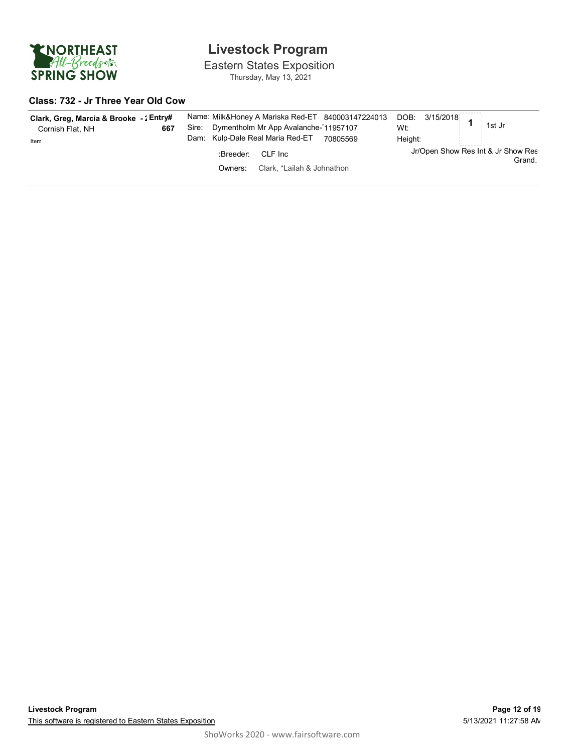

Eastern States Exposition Thursday, May 13, 2021

#### **Class: 732 - Jr Three Year Old Cow**

| Clark, Greg, Marcia & Brooke - : Entry#<br>667<br>Cornish Flat, NH<br>Item | Name: Milk&Honey A Mariska Red-ET 840003147224013 DOB: 3/15/2018<br>11st Jr<br>Dymentholm Mr App Avalanche-11957107<br>Sire:<br>Dam: Kulp-Dale Real Maria Red-ET<br>70805569 | Wt:<br>Height:                               |
|----------------------------------------------------------------------------|------------------------------------------------------------------------------------------------------------------------------------------------------------------------------|----------------------------------------------|
|                                                                            | :Breeder:<br>CLF Inc<br>Clark. *Lailah & Johnathon<br>Owners:                                                                                                                | Jr/Open Show Res Int & Jr Show Res<br>Grand. |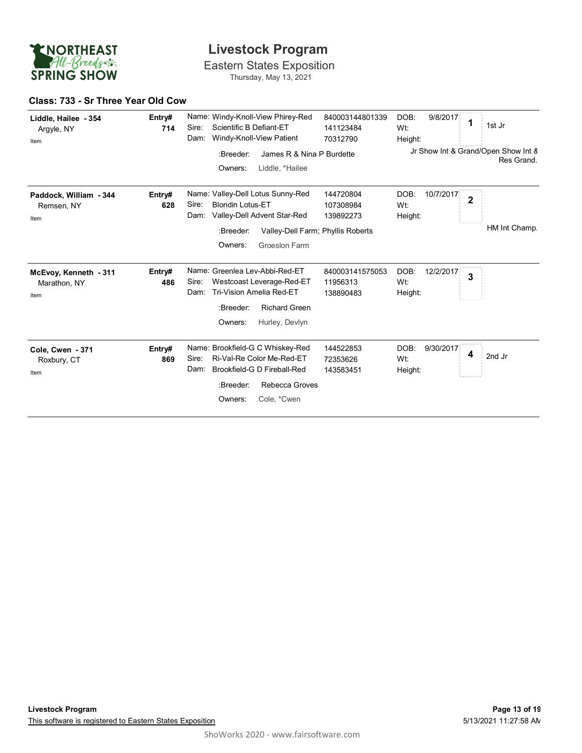

Eastern States Exposition Thursday, May 13, 2021

#### **Class: 733 - Sr Three Year Old Cow**

| Liddle, Hailee - 354<br>Argyle, NY<br>Item    | Entry#<br>714 | Sire:<br>Dam: | Scientific B Defiant-ET                         | Name: Windy-Knoll-View Phirey-Red<br>Windy-Knoll-View Patient                                                                            | 840003144801339<br>141123484<br>70312790 | DOB:<br>Wt:<br>Height: | 9/8/2017  | 1              | 1st Jr                                            |
|-----------------------------------------------|---------------|---------------|-------------------------------------------------|------------------------------------------------------------------------------------------------------------------------------------------|------------------------------------------|------------------------|-----------|----------------|---------------------------------------------------|
|                                               |               |               | :Breeder:<br>Owners:                            | James R & Nina P Burdette<br>Liddle, *Hailee                                                                                             |                                          |                        |           |                | Jr Show Int & Grand/Open Show Int 8<br>Res Grand. |
| Paddock, William - 344<br>Remsen, NY<br>Item  | Entry#<br>628 | Sire:<br>Dam: | <b>Blondin Lotus-ET</b><br>:Breeder:<br>Owners: | Name: Valley-Dell Lotus Sunny-Red<br>Valley-Dell Advent Star-Red<br>Valley-Dell Farm; Phyllis Roberts<br>Groeslon Farm                   | 144720804<br>107308984<br>139892273      | DOB:<br>Wt:<br>Height: | 10/7/2017 | $\overline{2}$ | HM Int Champ.                                     |
| McEvoy, Kenneth - 311<br>Marathon, NY<br>Item | Entry#<br>486 | Sire:<br>Dam: | :Breeder:<br>Owners:                            | Name: Greenlea Lev-Abbi-Red-ET<br>Westcoast Leverage-Red-ET<br><b>Tri-Vision Amelia Red-ET</b><br><b>Richard Green</b><br>Hurley, Devlyn | 840003141575053<br>11956313<br>138890483 | DOB:<br>Wt:<br>Height: | 12/2/2017 | 3              |                                                   |
| Cole, Cwen - 371<br>Roxbury, CT<br>Item       | Entry#<br>869 | Sire:<br>Dam: | :Breeder:<br>Owners:                            | Name: Brookfield-G C Whiskey-Red<br>Ri-Val-Re Color Me-Red-ET<br>Brookfield-G D Fireball-Red<br>Rebecca Groves<br>Cole, *Cwen            | 144522853<br>72353626<br>143583451       | DOB:<br>Wt:<br>Height: | 9/30/2017 | 4              | 2nd Jr                                            |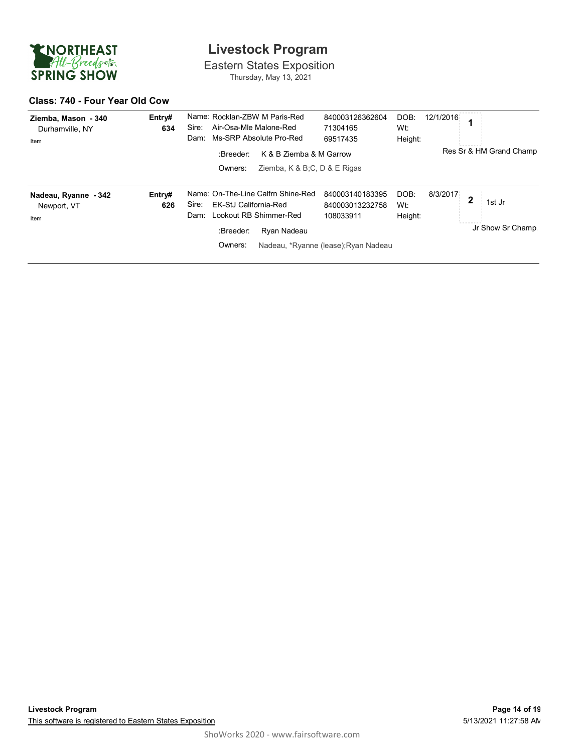

Eastern States Exposition Thursday, May 13, 2021

#### **Class: 740 - Four Year Old Cow**

| Ziemba, Mason - 340<br>Durhamville, NY<br>Item | Entry#<br>634 | Name: Rocklan-ZBW M Paris-Red<br>Air-Osa-Mle Malone-Red<br>Sire:<br>Ms-SRP Absolute Pro-Red<br>Dam:                                           | 840003126362604<br>71304165<br>69517435                                                 | 12/1/2016<br>DOB:<br>Wt:<br>Height: |                                 |
|------------------------------------------------|---------------|-----------------------------------------------------------------------------------------------------------------------------------------------|-----------------------------------------------------------------------------------------|-------------------------------------|---------------------------------|
|                                                |               | K & B Ziemba & M Garrow<br>:Breeder:<br>Ziemba, $K & B:C, D & E$ Rigas<br>Owners:                                                             |                                                                                         |                                     | Res Sr & HM Grand Champ         |
| Nadeau, Ryanne - 342<br>Newport, VT<br>Item    | Entry#<br>626 | Name: On-The-Line Calfrn Shine-Red<br>EK-StJ California-Red<br>Sire:<br>Lookout RB Shimmer-Red<br>Dam:<br>:Breeder:<br>Ryan Nadeau<br>Owners: | 840003140183395<br>840003013232758<br>108033911<br>Nadeau, *Ryanne (lease); Ryan Nadeau | DOB:<br>8/3/2017<br>Wt:<br>Height:  | c<br>1st Jr<br>Jr Show Sr Champ |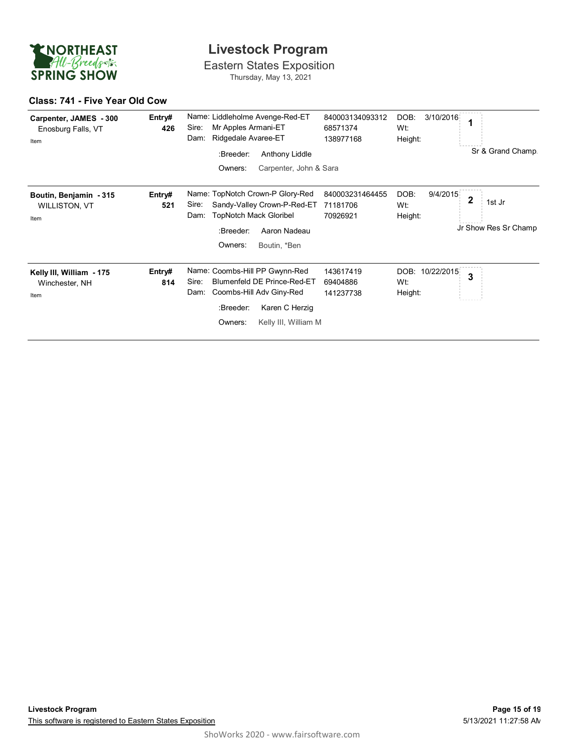

Eastern States Exposition Thursday, May 13, 2021

#### **Class: 741 - Five Year Old Cow**

| Carpenter, JAMES - 300<br>Enosburg Falls, VT<br>Item   | Entry#<br>426 | Name: Liddleholme Avenge-Red-ET<br>Mr Apples Armani-ET<br>Sire:<br>Ridgedale Avaree-ET<br>Dam:<br>:Breeder:<br>Anthony Liddle<br>Owners:<br>Carpenter, John & Sara           | 840003134093312<br>68571374<br>138977168 | DOB:<br>3/10/2016<br>Wt:<br>Height: | 1<br>Sr & Grand Champ               |
|--------------------------------------------------------|---------------|------------------------------------------------------------------------------------------------------------------------------------------------------------------------------|------------------------------------------|-------------------------------------|-------------------------------------|
| Boutin, Benjamin - 315<br><b>WILLISTON, VT</b><br>Item | Entry#<br>521 | Name: TopNotch Crown-P Glory-Red<br>Sandy-Valley Crown-P-Red-ET<br>Sire:<br><b>TopNotch Mack Gloribel</b><br>Dam:<br>:Breeder:<br>Aaron Nadeau<br>Owners:<br>Boutin, *Ben    | 840003231464455<br>71181706<br>70926921  | DOB:<br>9/4/2015<br>Wt:<br>Height:  | 2<br>1st Jr<br>Jr Show Res Sr Champ |
| Kelly III, William - 175<br>Winchester, NH<br>Item     | Entry#<br>814 | Name: Coombs-Hill PP Gwynn-Red<br>Blumenfeld DE Prince-Red-ET<br>Sire:<br>Coombs-Hill Adv Giny-Red<br>Dam:<br>Karen C Herzig<br>:Breeder:<br>Owners:<br>Kelly III, William M | 143617419<br>69404886<br>141237738       | DOB: 10/22/2015<br>Wt:<br>Height:   | 3                                   |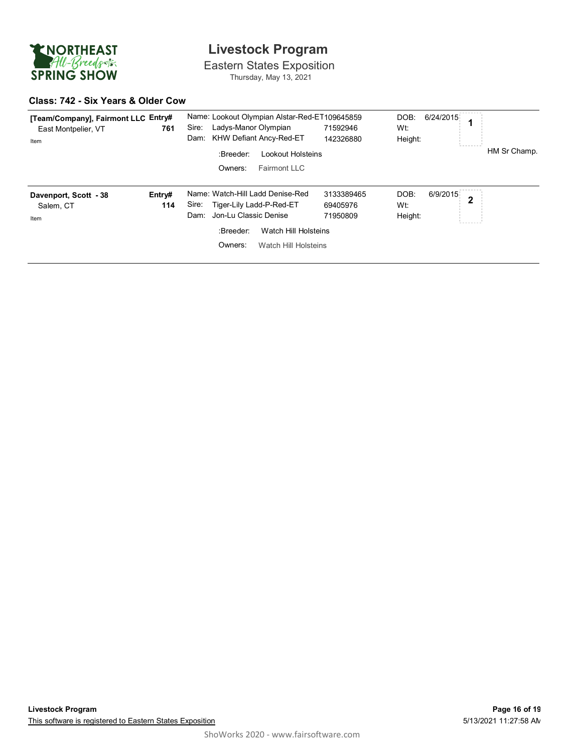

Eastern States Exposition Thursday, May 13, 2021

#### **Class: 742 - Six Years & Older Cow**

| [Team/Company], Fairmont LLC Entry#<br>East Montpelier, VT<br>Item | 761           | Name: Lookout Olympian Alstar-Red-ET109645859<br>DOB:<br>Ladys-Manor Olympian<br>Sire:<br>71592946<br>Wt:<br>KHW Defiant Ancy-Red-ET<br>Dam:<br>142326880<br>Height:<br>:Breeder:<br>Lookout Holsteins<br>Fairmont LLC<br>Owners:              | 6/24/2015<br>HM Sr Champ.  |
|--------------------------------------------------------------------|---------------|------------------------------------------------------------------------------------------------------------------------------------------------------------------------------------------------------------------------------------------------|----------------------------|
| Davenport, Scott - 38<br>Salem, CT<br>Item                         | Entry#<br>114 | Name: Watch-Hill Ladd Denise-Red<br>3133389465<br>DOB:<br>Sire:<br>Tiger-Lily Ladd-P-Red-ET<br>69405976<br>Wt:<br>Jon-Lu Classic Denise<br>Dam:<br>Height:<br>71950809<br>:Breeder:<br>Watch Hill Holsteins<br>Owners:<br>Watch Hill Holsteins | 6/9/2015<br>$\overline{2}$ |